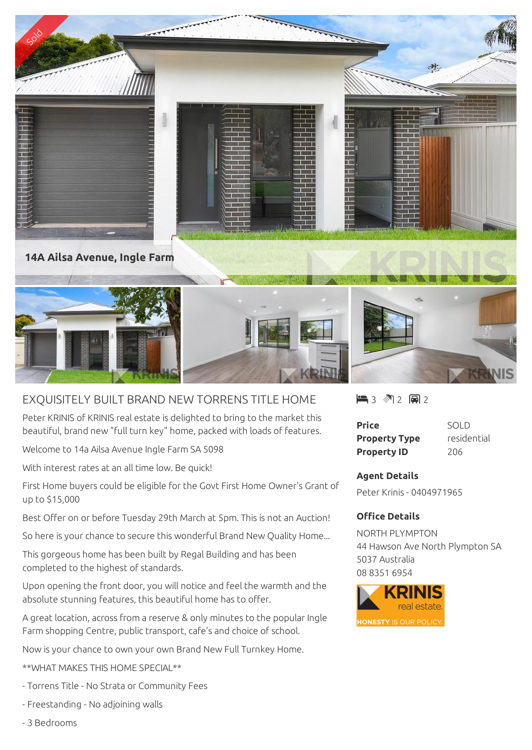

## EXQUISITELY BUILT BRAND NEW TORRENS TITLE HOME

Peter KRINIS of KRINIS real estate is delighted to bring to the market this beautiful, brand new "full turn key" home, packed with loads of features.

Welcome to 14a Ailsa Avenue Ingle Farm SA 5098

With interest rates at an all time low. Be quick!

First Home buyers could be eligible for the Govt First Home Owner's Grant of up to \$15,000

Best Offer on or before Tuesday 29th March at 5pm. This is not an Auction!

So here is your chance to secure this wonderful Brand New Quality Home...

This gorgeous home has been built by Regal Building and has been completed to the highest of standards.

Upon opening the front door, you will notice and feel the warmth and the absolute stunning features, this beautiful home has to offer.

A great location, across from a reserve & only minutes to the popular Ingle Farm shopping Centre, public transport, cafe's and choice of school.

Now is your chance to own your own Brand New Full Turnkey Home.

\*\*WHAT MAKES THIS HOME SPECIAL\*\*

- Torrens Title No Strata or Community Fees
- Freestanding No adjoining walls

 $\blacksquare$  3 2 2 2 2

| <b>Price</b>         | SOLD        |
|----------------------|-------------|
| <b>Property Type</b> | residential |
| <b>Property ID</b>   | 206         |

## **Agent Details**

Peter Krinis - 0404971965

## **Office Details**

NORTH PLYMPTON 44 Hawson Ave North Plympton SA 5037 Australia 08 8351 6954



- 3 Bedrooms